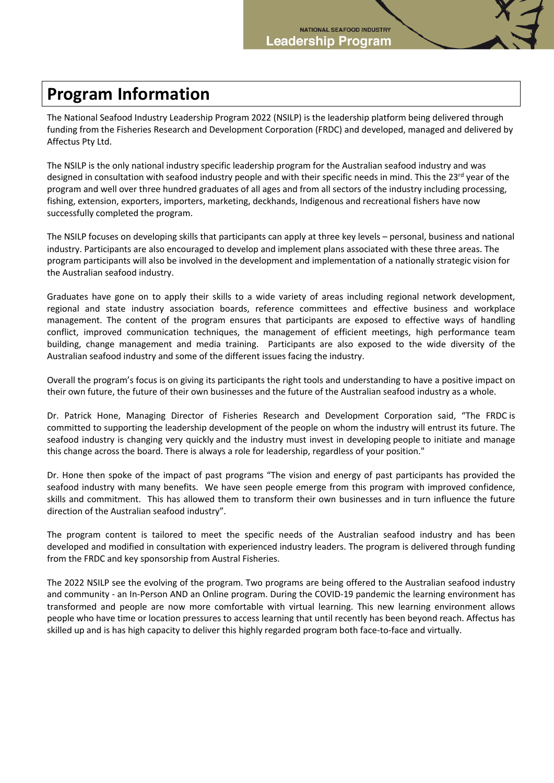## **Program Information**

The National Seafood Industry Leadership Program 2022 (NSILP) is the leadership platform being delivered through funding from the Fisheries Research and Development Corporation (FRDC) and developed, managed and delivered by Affectus Pty Ltd.

The NSILP is the only national industry specific leadership program for the Australian seafood industry and was designed in consultation with seafood industry people and with their specific needs in mind. This the 23<sup>rd</sup> year of the program and well over three hundred graduates of all ages and from all sectors of the industry including processing, fishing, extension, exporters, importers, marketing, deckhands, Indigenous and recreational fishers have now successfully completed the program.

The NSILP focuses on developing skills that participants can apply at three key levels – personal, business and national industry. Participants are also encouraged to develop and implement plans associated with these three areas. The program participants will also be involved in the development and implementation of a nationally strategic vision for the Australian seafood industry.

Graduates have gone on to apply their skills to a wide variety of areas including regional network development, regional and state industry association boards, reference committees and effective business and workplace management. The content of the program ensures that participants are exposed to effective ways of handling conflict, improved communication techniques, the management of efficient meetings, high performance team building, change management and media training. Participants are also exposed to the wide diversity of the Australian seafood industry and some of the different issues facing the industry.

Overall the program's focus is on giving its participants the right tools and understanding to have a positive impact on their own future, the future of their own businesses and the future of the Australian seafood industry as a whole.

Dr. Patrick Hone, Managing Director of Fisheries Research and Development Corporation said, "The FRDC is committed to supporting the leadership development of the people on whom the industry will entrust its future. The seafood industry is changing very quickly and the industry must invest in developing people to initiate and manage this change across the board. There is always a role for leadership, regardless of your position."

Dr. Hone then spoke of the impact of past programs "The vision and energy of past participants has provided the seafood industry with many benefits. We have seen people emerge from this program with improved confidence, skills and commitment. This has allowed them to transform their own businesses and in turn influence the future direction of the Australian seafood industry".

The program content is tailored to meet the specific needs of the Australian seafood industry and has been developed and modified in consultation with experienced industry leaders. The program is delivered through funding from the FRDC and key sponsorship from Austral Fisheries.

The 2022 NSILP see the evolving of the program. Two programs are being offered to the Australian seafood industry and community - an In-Person AND an Online program. During the COVID-19 pandemic the learning environment has transformed and people are now more comfortable with virtual learning. This new learning environment allows people who have time or location pressures to access learning that until recently has been beyond reach. Affectus has skilled up and is has high capacity to deliver this highly regarded program both face-to-face and virtually.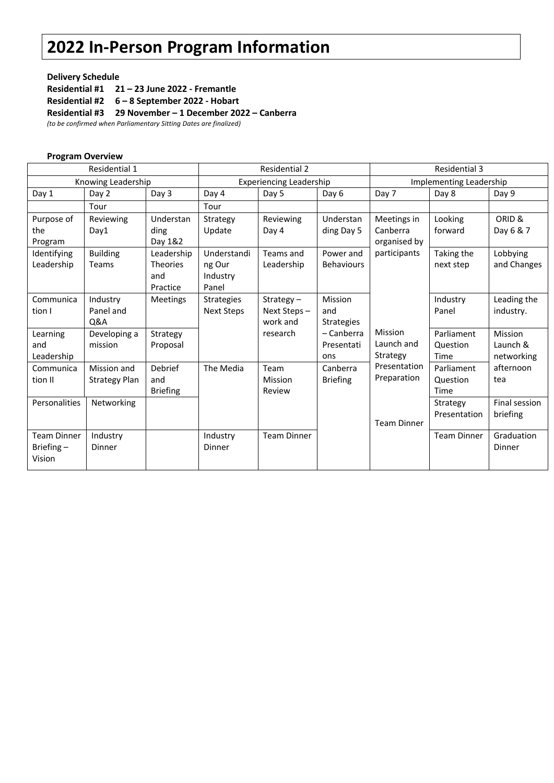# **2022 In-Person Program Information**

### **Delivery Schedule**

**Residential #1 21 – 23 June 2022 - Fremantle**

**Residential #2 6 – 8 September 2022 - Hobart**

**Residential #3 29 November – 1 December 2022 – Canberra** 

*(to be confirmed when Parliamentary Sitting Dates are finalized)*

|                                           | <b>Program Overview</b>             |                                           |                                            |                                         |                                     |                                         |                                |                                                       |
|-------------------------------------------|-------------------------------------|-------------------------------------------|--------------------------------------------|-----------------------------------------|-------------------------------------|-----------------------------------------|--------------------------------|-------------------------------------------------------|
| Residential 1                             |                                     |                                           | <b>Residential 2</b>                       |                                         |                                     | <b>Residential 3</b>                    |                                |                                                       |
| Knowing Leadership                        |                                     |                                           | <b>Experiencing Leadership</b>             |                                         |                                     | Implementing Leadership                 |                                |                                                       |
| Day 1                                     | Day 2                               | Day 3                                     | Day 4                                      | Day 5                                   | Day 6                               | Day 7                                   | Day 8                          | Day 9                                                 |
|                                           | Tour                                |                                           | Tour                                       |                                         |                                     |                                         |                                |                                                       |
| Purpose of<br>the<br>Program              | Reviewing<br>Day1                   | Understan<br>ding<br>Day 1&2              | Strategy<br>Update                         | Reviewing<br>Day 4                      | Understan<br>ding Day 5             | Meetings in<br>Canberra<br>organised by | Looking<br>forward             | ORID &<br>Day 6 & 7                                   |
| Identifying<br>Leadership                 | <b>Building</b><br>Teams            | Leadership<br>Theories<br>and<br>Practice | Understandi<br>ng Our<br>Industry<br>Panel | Teams and<br>Leadership                 | Power and<br><b>Behaviours</b>      | participants                            | Taking the<br>next step        | Lobbying<br>and Changes                               |
| Communica<br>tion I                       | Industry<br>Panel and<br>Q&A        | <b>Meetings</b>                           | <b>Strategies</b><br><b>Next Steps</b>     | Strategy $-$<br>Next Steps-<br>work and | Mission<br>and<br><b>Strategies</b> |                                         | Industry<br>Panel              | Leading the<br>industry.                              |
| Learning<br>and<br>Leadership             | Developing a<br>mission             | Strategy<br>Proposal                      |                                            | research                                | - Canberra<br>Presentati<br>ons     | Mission<br>Launch and<br>Strategy       | Parliament<br>Question<br>Time | Mission<br>Launch &<br>networking<br>afternoon<br>tea |
| Communica<br>tion II                      | Mission and<br><b>Strategy Plan</b> | Debrief<br>and<br><b>Briefing</b>         | The Media                                  | Team<br>Mission<br>Review               | Canberra<br><b>Briefing</b>         | Presentation<br>Preparation             | Parliament<br>Question<br>Time |                                                       |
| Personalities                             | Networking                          |                                           |                                            |                                         |                                     | <b>Team Dinner</b>                      | Strategy<br>Presentation       | Final session<br>briefing                             |
| <b>Team Dinner</b><br>Briefing-<br>Vision | Industry<br>Dinner                  |                                           | Industry<br><b>Dinner</b>                  | <b>Team Dinner</b>                      |                                     |                                         | <b>Team Dinner</b>             | Graduation<br><b>Dinner</b>                           |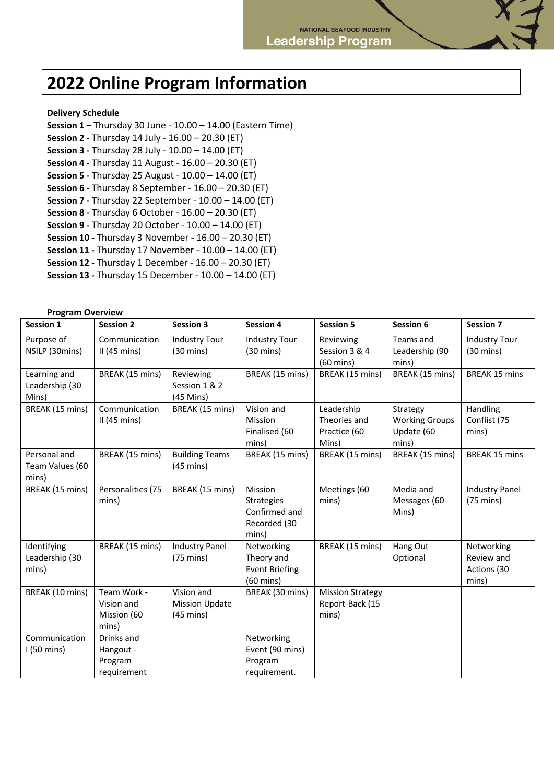## **2022 Online Program Information**

#### **Delivery Schedule**

**Session 1 –** Thursday 30 June - 10.00 – 14.00 (Eastern Time) **Session 2 -** Thursday 14 July - 16.00 – 20.30 (ET) **Session 3 -** Thursday 28 July - 10.00 – 14.00 (ET) **Session 4 -** Thursday 11 August - 16.00 – 20.30 (ET) **Session 5 -** Thursday 25 August - 10.00 – 14.00 (ET) **Session 6 -** Thursday 8 September - 16.00 – 20.30 (ET) **Session 7 -** Thursday 22 September - 10.00 – 14.00 (ET) **Session 8 -** Thursday 6 October - 16.00 – 20.30 (ET) **Session 9 -** Thursday 20 October - 10.00 – 14.00 (ET) **Session 10 -** Thursday 3 November - 16.00 – 20.30 (ET) **Session 11 -** Thursday 17 November - 10.00 – 14.00 (ET) **Session 12 -** Thursday 1 December - 16.00 – 20.30 (ET) **Session 13 -** Thursday 15 December - 10.00 – 14.00 (ET)

#### **Program Overview**

| Session 1                                | <b>Session 2</b>                                  | <b>Session 3</b>                                           | <b>Session 4</b>                                                         | <b>Session 5</b>                                    | Session 6                                                | <b>Session 7</b>                                 |
|------------------------------------------|---------------------------------------------------|------------------------------------------------------------|--------------------------------------------------------------------------|-----------------------------------------------------|----------------------------------------------------------|--------------------------------------------------|
| Purpose of<br>NSILP (30mins)             | Communication<br>II(45 mins)                      | <b>Industry Tour</b><br>$(30 \text{ mins})$                | <b>Industry Tour</b><br>$(30 \text{ mins})$                              | Reviewing<br>Session 3 & 4<br>$(60 \text{ mins})$   | Teams and<br>Leadership (90<br>mins)                     | <b>Industry Tour</b><br>$(30 \text{ mins})$      |
| Learning and<br>Leadership (30<br>Mins)  | BREAK (15 mins)                                   | Reviewing<br>Session 1 & 2<br>$(45$ Mins)                  | BREAK (15 mins)                                                          | BREAK (15 mins)                                     | BREAK (15 mins)                                          | <b>BREAK 15 mins</b>                             |
| BREAK (15 mins)                          | Communication<br>II(45 mins)                      | BREAK (15 mins)                                            | Vision and<br>Mission<br>Finalised (60<br>mins)                          | Leadership<br>Theories and<br>Practice (60<br>Mins) | Strategy<br><b>Working Groups</b><br>Update (60<br>mins) | Handling<br>Conflist (75<br>mins)                |
| Personal and<br>Team Values (60<br>mins) | BREAK (15 mins)                                   | <b>Building Teams</b><br>$(45 \text{ mins})$               | BREAK (15 mins)                                                          | BREAK (15 mins)                                     | BREAK (15 mins)                                          | <b>BREAK 15 mins</b>                             |
| BREAK (15 mins)                          | Personalities (75<br>mins)                        | BREAK (15 mins)                                            | Mission<br><b>Strategies</b><br>Confirmed and<br>Recorded (30<br>mins)   | Meetings (60<br>mins)                               | Media and<br>Messages (60<br>Mins)                       | <b>Industry Panel</b><br>$(75 \text{ mins})$     |
| Identifying<br>Leadership (30<br>mins)   | BREAK (15 mins)                                   | <b>Industry Panel</b><br>$(75 \text{ mins})$               | Networking<br>Theory and<br><b>Event Briefing</b><br>$(60 \text{ mins})$ | BREAK (15 mins)                                     | Hang Out<br>Optional                                     | Networking<br>Review and<br>Actions (30<br>mins) |
| BREAK (10 mins)                          | Team Work -<br>Vision and<br>Mission (60<br>mins) | Vision and<br><b>Mission Update</b><br>$(45 \text{ mins})$ | BREAK (30 mins)                                                          | <b>Mission Strategy</b><br>Report-Back (15<br>mins) |                                                          |                                                  |
| Communication<br>$1(50 \text{ mins})$    | Drinks and<br>Hangout -<br>Program<br>requirement |                                                            | Networking<br>Event (90 mins)<br>Program<br>requirement.                 |                                                     |                                                          |                                                  |